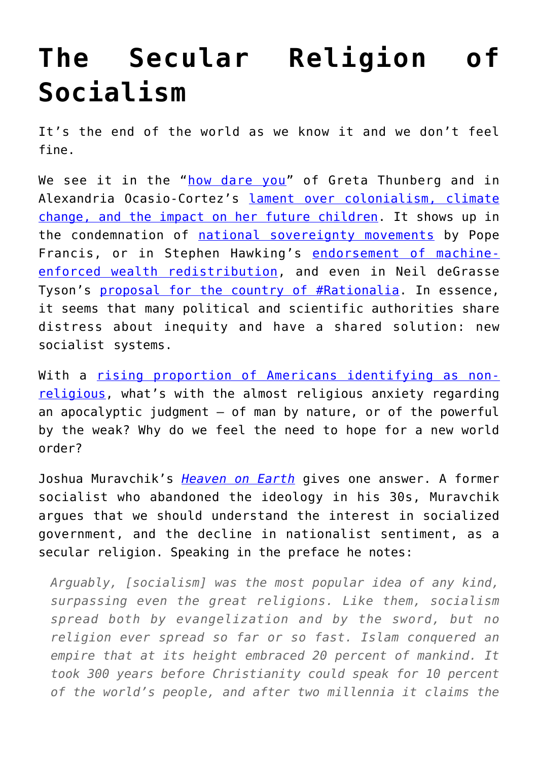## **[The Secular Religion of](https://intellectualtakeout.org/2019/11/the-secular-religion-of-socialism/) [Socialism](https://intellectualtakeout.org/2019/11/the-secular-religion-of-socialism/)**

It's the end of the world as we know it and we don't feel fine.

We see it in the "[how dare you"](https://www.theguardian.com/environment/video/2019/sep/23/greta-thunberg-to-world-leaders-how-dare-you-you-have-stolen-my-dreams-and-my-childhood-video) of Greta Thunberg and in Alexandria Ocasio-Cortez's [lament over colonialism, climate](https://www.washingtonexaminer.com/news/my-dreams-of-being-a-mother-are-now-bittersweet-alexandria-ocasio-cortez-holds-back-tears-at-climate-summit) [change, and the impact on her future children.](https://www.washingtonexaminer.com/news/my-dreams-of-being-a-mother-are-now-bittersweet-alexandria-ocasio-cortez-holds-back-tears-at-climate-summit) It shows up in the condemnation of [national sovereignty movements](https://www.ncronline.org/news/vatican/new-interview-pope-explains-aim-synod-warns-against-nationalism) by Pope Francis, or in Stephen Hawking's [endorsement of machine](https://boingboing.net/2018/03/14/brief-history-of-class-war.html)[enforced wealth redistribution,](https://boingboing.net/2018/03/14/brief-history-of-class-war.html) and even in Neil deGrasse Tyson's [proposal for the country of #Rationalia](https://bigthink.com/paul-ratner/neil-degrasse-tyson-just-proposed-an-ideal-form-of-government). In essence, it seems that many political and scientific authorities share distress about inequity and have a shared solution: new socialist systems.

With a [rising proportion of Americans identifying as non](https://www.pewforum.org/2019/10/17/in-u-s-decline-of-christianity-continues-at-rapid-pace/)[religious](https://www.pewforum.org/2019/10/17/in-u-s-decline-of-christianity-continues-at-rapid-pace/), what's with the almost religious anxiety regarding an apocalyptic judgment  $-$  of man by nature, or of the powerful by the weak? Why do we feel the need to hope for a new world order?

Joshua Muravchik's *[Heaven on Earth](https://www.amazon.com/gp/product/1594039631/ref=as_li_qf_asin_il_tl?ie=UTF8&tag=intelltakeo0d-20&creative=9325&linkCode=as2&creativeASIN=1594039631&linkId=676396b89dccbafdc33d44089441ddff)* gives one answer. A former socialist who abandoned the ideology in his 30s, Muravchik argues that we should understand the interest in socialized government, and the decline in nationalist sentiment, as a secular religion. Speaking in the preface he notes:

*Arguably, [socialism] was the most popular idea of any kind, surpassing even the great religions. Like them, socialism spread both by evangelization and by the sword, but no religion ever spread so far or so fast. Islam conquered an empire that at its height embraced 20 percent of mankind. It took 300 years before Christianity could speak for 10 percent of the world's people, and after two millennia it claims the*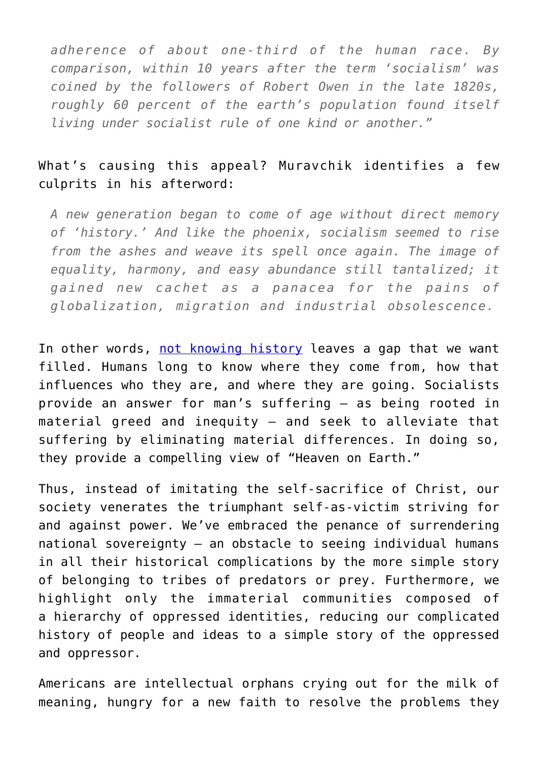*adherence of about one-third of the human race. By comparison, within 10 years after the term 'socialism' was coined by the followers of Robert Owen in the late 1820s, roughly 60 percent of the earth's population found itself living under socialist rule of one kind or another."*

## What's causing this appeal? Muravchik identifies a few culprits in his afterword:

*A new generation began to come of age without direct memory of 'history.' And like the phoenix, socialism seemed to rise from the ashes and weave its spell once again. The image of equality, harmony, and easy abundance still tantalized; it gained new cachet as a panacea for the pains of globalization, migration and industrial obsolescence.*

In other words, [not knowing history](https://www.cbsnews.com/news/holocaust-study-millennials/) leaves a gap that we want filled. Humans long to know where they come from, how that influences who they are, and where they are going. Socialists provide an answer for man's suffering – as being rooted in material greed and inequity – and seek to alleviate that suffering by eliminating material differences. In doing so, they provide a compelling view of "Heaven on Earth."

Thus, instead of imitating the self-sacrifice of Christ, our society venerates the triumphant self-as-victim striving for and against power. We've embraced the penance of surrendering national sovereignty – an obstacle to seeing individual humans in all their historical complications by the more simple story of belonging to tribes of predators or prey. Furthermore, we highlight only the immaterial communities composed of a hierarchy of oppressed identities, reducing our complicated history of people and ideas to a simple story of the oppressed and oppressor.

Americans are intellectual orphans crying out for the milk of meaning, hungry for a new faith to resolve the problems they